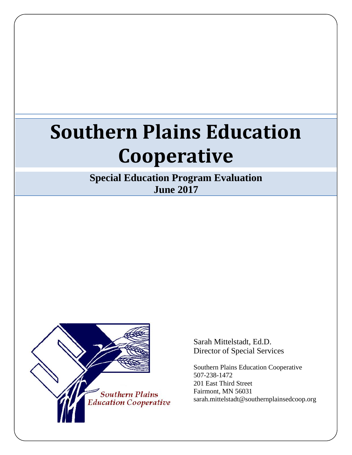# **Southern Plains Education Cooperative**

**Special Education Program Evaluation June 2017**



Sarah Mittelstadt, Ed.D. Director of Special Services

Southern Plains Education Cooperative 507-238-1472 201 East Third Street Fairmont, MN 56031 sarah.mittelstadt@southernplainsedcoop.org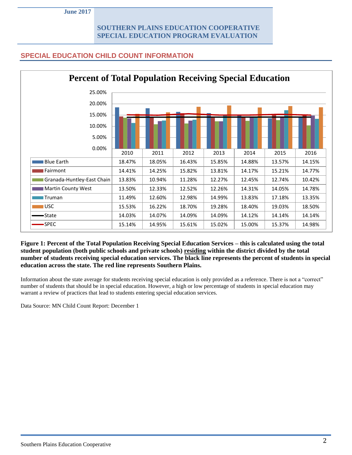## **SPECIAL EDUCATION CHILD COUNT INFORMATION**

| <b>Percent of Total Population Receiving Special Education</b> |        |        |        |        |        |        |        |  |  |
|----------------------------------------------------------------|--------|--------|--------|--------|--------|--------|--------|--|--|
| 25.00%                                                         |        |        |        |        |        |        |        |  |  |
| 20.00%                                                         |        |        |        |        |        |        |        |  |  |
| 15.00%                                                         |        |        |        |        |        |        |        |  |  |
| 10.00%                                                         |        |        |        |        |        |        |        |  |  |
| 5.00%                                                          |        |        |        |        |        |        |        |  |  |
| 0.00%                                                          |        |        |        |        |        |        |        |  |  |
|                                                                | 2010   | 2011   | 2012   | 2013   | 2014   | 2015   | 2016   |  |  |
| <b>Blue Earth</b>                                              | 18.47% | 18.05% | 16.43% | 15.85% | 14.88% | 13.57% | 14.15% |  |  |
| Fairmont                                                       | 14.41% | 14.25% | 15.82% | 13.81% | 14.17% | 15.21% | 14.77% |  |  |
| Granada-Huntley-East Chain                                     | 13.83% | 10.94% | 11.28% | 12.27% | 12.45% | 12.74% | 10.42% |  |  |
| <b>Martin County West</b>                                      | 13.50% | 12.33% | 12.52% | 12.26% | 14.31% | 14.05% | 14.78% |  |  |
| Truman                                                         | 11.49% | 12.60% | 12.98% | 14.99% | 13.83% | 17.18% | 13.35% |  |  |
| <b>USC</b>                                                     | 15.53% | 16.22% | 18.70% | 19.28% | 18.40% | 19.03% | 18.50% |  |  |
| •State                                                         | 14.03% | 14.07% | 14.09% | 14.09% | 14.12% | 14.14% | 14.14% |  |  |
| <b>SPEC</b>                                                    | 15.14% | 14.95% | 15.61% | 15.02% | 15.00% | 15.37% | 14.98% |  |  |

**Figure 1: Percent of the Total Population Receiving Special Education Services – this is calculated using the total student population (both public schools and private schools) residing within the district divided by the total number of students receiving special education services. The black line represents the percent of students in special education across the state. The red line represents Southern Plains.**

Information about the state average for students receiving special education is only provided as a reference. There is not a "correct" number of students that should be in special education. However, a high or low percentage of students in special education may warrant a review of practices that lead to students entering special education services.

Data Source: MN Child Count Report: December 1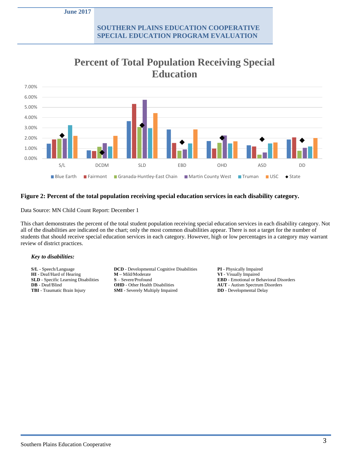

# **Percent of Total Population Receiving Special Education**

#### **Figure 2: Percent of the total population receiving special education services in each disability category.**

Data Source: MN Child Count Report: December 1

This chart demonstrates the percent of the total student population receiving special education services in each disability category. Not all of the disabilities are indicated on the chart; only the most common disabilities appear. There is not a target for the number of students that should receive special education services in each category. However, high or low percentages in a category may warrant review of district practices.

#### *Key to disabilities:*

**HI** - Deaf/Hard of Hearing

**S/L** - Speech/Language **DCD** - Developmental Cognitive Disabilities **PI** - Physically Impaired **HI** - Deaf/Hard of Hearing **M** - Mild/Moderate **PI** - Visually Impaired **SLD** - Specific Learning Disabilities **S** – Severe/Profound **EBD** - Emotional or Behavioral Disorders **DB** - Deaf/Blind **OHD** - Other Health Disabilities **AUT** - Autism Spectrum Disorders **TBI** - Traumatic Brain Injury **SMI** - Severely Multiply Impaired **DD** - Developmental Delay **SMI** - Severely Multiply Impaired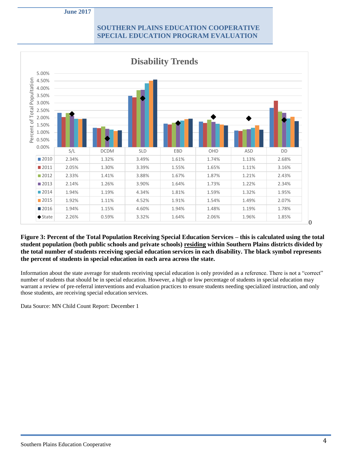

**Figure 3: Percent of the Total Population Receiving Special Education Services – this is calculated using the total student population (both public schools and private schools) residing within Southern Plains districts divided by the total number of students receiving special education services in each disability. The black symbol represents the percent of students in special education in each area across the state.** 

Information about the state average for students receiving special education is only provided as a reference. There is not a "correct" number of students that should be in special education. However, a high or low percentage of students in special education may warrant a review of pre-referral interventions and evaluation practices to ensure students needing specialized instruction, and only those students, are receiving special education services.

Data Source: MN Child Count Report: December 1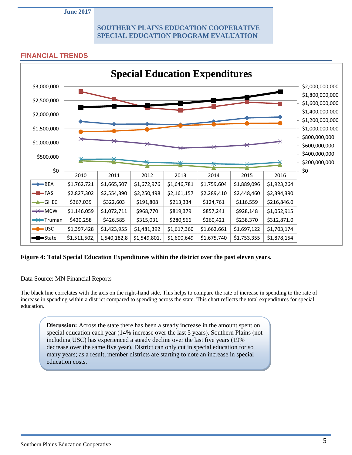#### **FINANCIAL TRENDS**



#### **Figure 4: Total Special Education Expenditures within the district over the past eleven years.**

#### Data Source: MN Financial Reports

The black line correlates with the axis on the right-hand side. This helps to compare the rate of increase in spending to the rate of increase in spending within a district compared to spending across the state. This chart reflects the total expenditures for special education.

**Discussion:** Across the state there has been a steady increase in the amount spent on special education each year (14% increase over the last 5 years). Southern Plains (not including USC) has experienced a steady decline over the last five years (19% decrease over the same five year). District can only cut in special education for so many years; as a result, member districts are starting to note an increase in special education costs.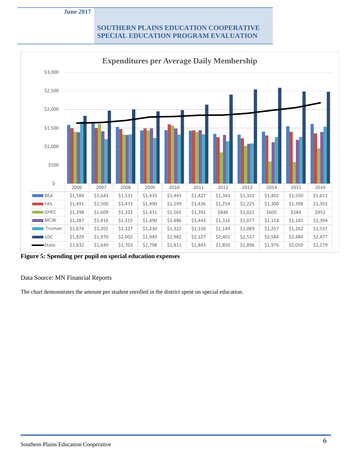

**Figure 5: Spending per pupil on special education expenses**

Data Source: MN Financial Reports

The chart demonstrates the amount per student enrolled in the district spent on special education.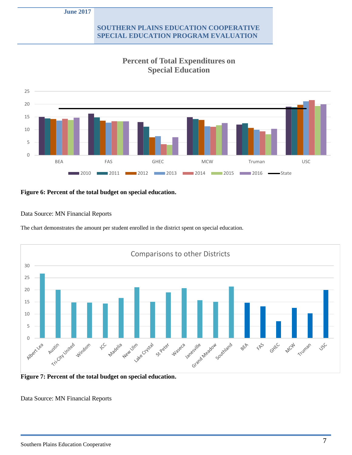**June 2017**

#### **SOUTHERN PLAINS EDUCATION COOPERATIVE SPECIAL EDUCATION PROGRAM EVALUATION**



# **Percent of Total Expenditures on Special Education**

#### **Figure 6: Percent of the total budget on special education.**

#### Data Source: MN Financial Reports

The chart demonstrates the amount per student enrolled in the district spent on special education.



**Figure 7: Percent of the total budget on special education.**

Data Source: MN Financial Reports